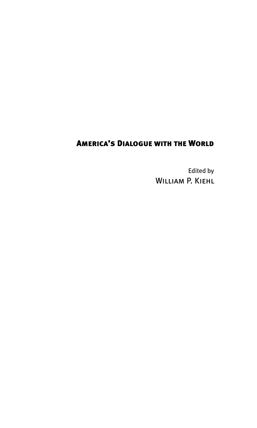# America's Dialogue with the World

Edited by William P. Kiehl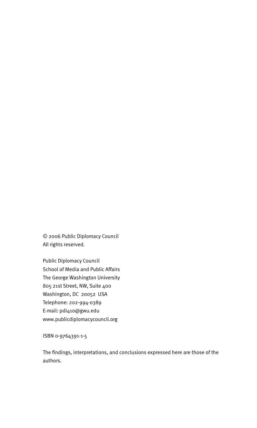© 2006 Public Diplomacy Council All rights reserved.

Public Diplomacy Council School of Media and Public Affairs The George Washington University 805 21st Street, NW, Suite 400 Washington, DC 20052 USA Telephone: 202-994-0389 E-mail: pdi410@gwu.edu www.publicdiplomacycouncil.org

ISBN 0-9764391-1-5

The findings, interpretations, and conclusions expressed here are those of the authors.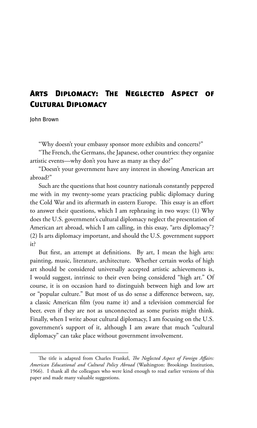# Arts Diplomacy: The Neglected Aspect of Cultural Diplomacy

John Brown

"Why doesn't your embassy sponsor more exhibits and concerts?"

"The French, the Germans, the Japanese, other countries: they organize artistic events—why don't you have as many as they do?"

"Doesn't your government have any interest in showing American art abroad?"

Such are the questions that host country nationals constantly peppered me with in my twenty-some years practicing public diplomacy during the Cold War and its aftermath in eastern Europe. This essay is an effort to answer their questions, which I am rephrasing in two ways: (1) Why does the U.S. government's cultural diplomacy neglect the presentation of American art abroad, which I am calling, in this essay, "arts diplomacy"? (2) Is arts diplomacy important, and should the U.S. government support it?

But first, an attempt at definitions. By art, I mean the high arts: painting, music, literature, architecture. Whether certain works of high art should be considered universally accepted artistic achievements is, I would suggest, intrinsic to their even being considered "high art." Of course, it is on occasion hard to distinguish between high and low art or "popular culture." But most of us do sense a difference between, say, a classic American film (you name it) and a television commercial for beer, even if they are not as unconnected as some purists might think. Finally, when I write about cultural diplomacy, I am focusing on the U.S. government's support of it, although I am aware that much "cultural diplomacy" can take place without government involvement.

The title is adapted from Charles Frankel, *The Neglected Aspect of Foreign Affairs: American Educational and Cultural Policy Abroad* (Washington: Brookings Institution, 1966). I thank all the colleagues who were kind enough to read earlier versions of this paper and made many valuable suggestions.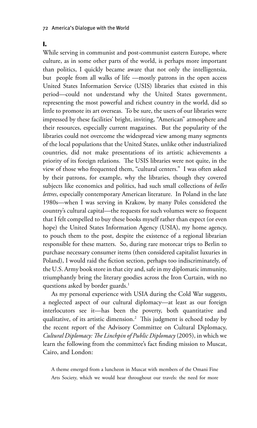I.

While serving in communist and post-communist eastern Europe, where culture, as in some other parts of the world, is perhaps more important than politics, I quickly became aware that not only the intelligentsia, but people from all walks of life —mostly patrons in the open access United States Information Service (USIS) libraries that existed in this period—could not understand why the United States government, representing the most powerful and richest country in the world, did so little to promote its art overseas. To be sure, the users of our libraries were impressed by these facilities' bright, inviting, "American" atmosphere and their resources, especially current magazines. But the popularity of the libraries could not overcome the widespread view among many segments of the local populations that the United States, unlike other industrialized countries, did not make presentations of its artistic achievements a priority of its foreign relations. The USIS libraries were not quite, in the view of those who frequented them, "cultural centers." I was often asked by their patrons, for example, why the libraries, though they covered subjects like economics and politics, had such small collections of *belles lettres*, especially contemporary American literature. In Poland in the late 1980s—when I was serving in Krakow, by many Poles considered the country's cultural capital—the requests for such volumes were so frequent that I felt compelled to buy these books myself rather than expect (or even hope) the United States Information Agency (USIA), my home agency, to pouch them to the post, despite the existence of a regional librarian responsible for these matters. So, during rare motorcar trips to Berlin to purchase necessary consumer items (then considered capitalist luxuries in Poland), I would raid the fiction section, perhaps too indiscriminately, of the U.S. Army book store in that city and, safe in my diplomatic immunity, triumphantly bring the literary goodies across the Iron Curtain, with no questions asked by border guards.<sup>1</sup>

As my personal experience with USIA during the Cold War suggests, a neglected aspect of our cultural diplomacy—at least as our foreign interlocutors see it—has been the poverty, both quantitative and qualitative, of its artistic dimension.<sup>2</sup> This judgment is echoed today by the recent report of the Advisory Committee on Cultural Diplomacy, Cultural Diplomacy: The Linchpin of Public Diplomacy (2005), in which we learn the following from the committee's fact finding mission to Muscat, Cairo, and London:

A theme emerged from a luncheon in Muscat with members of the Omani Fine Arts Society, which we would hear throughout our travels: the need for more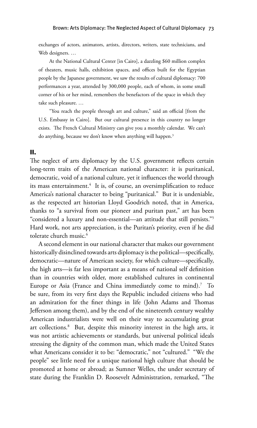exchanges of actors, animators, artists, directors, writers, state technicians, and Web designers. …

At the National Cultural Center [in Cairo], a dazzling \$60 million complex of theaters, music halls, exhibition spaces, and offices built for the Egyptian people by the Japanese government, we saw the results of cultural diplomacy: 700 performances a year, attended by 300,000 people, each of whom, in some small corner of his or her mind, remembers the benefactors of the space in which they take such pleasure. …

"You reach the people through art and culture," said an official [from the U.S. Embassy in Cairo]. But our cultural presence in this country no longer exists. The French Cultural Ministry can give you a monthly calendar. We can't do anything, because we don't know when anything will happen.<sup>3</sup>

## II.

The neglect of arts diplomacy by the U.S. government reflects certain long-term traits of the American national character: it is puritanical, democratic, void of a national culture, yet it influences the world through its mass entertainment.<sup>4</sup> It is, of course, an oversimplification to reduce America's national character to being "puritanical." But it is undeniable, as the respected art historian Lloyd Goodrich noted, that in America, thanks to "a survival from our pioneer and puritan past," art has been "considered a luxury and non-essential—an attitude that still persists."5 Hard work, not arts appreciation, is the Puritan's priority, even if he did tolerate church music.<sup>6</sup>

A second element in our national character that makes our government historically disinclined towards arts diplomacy is the political—specifically, democratic—nature of American society, for which culture—specifically, the high arts—is far less important as a means of national self definition than in countries with older, more established cultures in continental Europe or Asia (France and China immediately come to mind).<sup>7</sup> To be sure, from its very first days the Republic included citizens who had an admiration for the finer things in life (John Adams and Thomas Jefferson among them), and by the end of the nineteenth century wealthy American industrialists were well on their way to accumulating great art collections.8 But, despite this minority interest in the high arts, it was not artistic achievements or standards, but universal political ideals stressing the dignity of the common man, which made the United States what Americans consider it to be: "democratic," not "cultured." "We the people" see little need for a unique national high culture that should be promoted at home or abroad; as Sumner Welles, the under secretary of state during the Franklin D. Roosevelt Administration, remarked, "The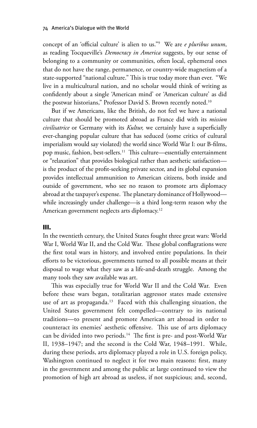concept of an 'official culture' is alien to us."9 We are *e pluribus unum*, as reading Tocqueville's *Democracy in America* suggests, by our sense of belonging to a community or communities, often local, ephemeral ones that do not have the range, permanence, or country-wide magnetism of a state-supported "national culture." This is true today more than ever. "We live in a multicultural nation, and no scholar would think of writing as confidently about a single 'American mind' or 'American culture' as did the postwar historians," Professor David S. Brown recently noted.<sup>10</sup>

But if we Americans, like the British, do not feel we have a national culture that should be promoted abroad as France did with its *mission civilisatrice* or Germany with its *Kultur,* we certainly have a superficially ever-changing popular culture that has seduced (some critics of cultural imperialism would say violated) the world since World War I: our B-films, pop music, fashion, best-sellers.<sup>11</sup> This culture—essentially entertainment or "relaxation" that provides biological rather than aesthetic satisfaction is the product of the profit-seeking private sector, and its global expansion provides intellectual ammunition to American citizens, both inside and outside of government, who see no reason to promote arts diplomacy abroad at the taxpayer's expense. The planetary dominance of Hollywood while increasingly under challenge—is a third long-term reason why the American government neglects arts diplomacy. 12

### III.

In the twentieth century, the United States fought three great wars: World War I, World War II, and the Cold War. These global conflagrations were the first total wars in history, and involved entire populations. In their efforts to be victorious, governments turned to all possible means at their disposal to wage what they saw as a life-and-death struggle. Among the many tools they saw available was art.

This was especially true for World War II and the Cold War. Even before these wars began, totalitarian aggressor states made extensive use of art as propaganda. <sup>13</sup> Faced with this challenging situation, the United States government felt compelled—contrary to its national traditions—to present and promote American art abroad in order to counteract its enemies' aesthetic offensive. This use of arts diplomacy can be divided into two periods.<sup>14</sup> The first is pre- and post-World War II, 1938–1947; and the second is the Cold War, 1948–1991. While, during these periods, arts diplomacy played a role in U.S. foreign policy, Washington continued to neglect it for two main reasons: first, many in the government and among the public at large continued to view the promotion of high art abroad as useless, if not suspicious; and, second,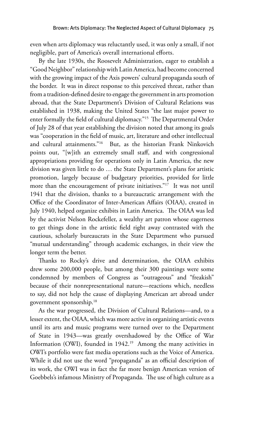even when arts diplomacy was reluctantly used, it was only a small, if not negligible, part of America's overall international efforts.

By the late 1930s, the Roosevelt Administration, eager to establish a "Good Neighbor" relationship with Latin America, had become concerned with the growing impact of the Axis powers' cultural propaganda south of the border. It was in direct response to this perceived threat, rather than from a tradition-defined desire to engage the government in arts promotion abroad, that the State Department's Division of Cultural Relations was established in 1938, making the United States "the last major power to enter formally the field of cultural diplomacy."<sup>15</sup> The Departmental Order of July 28 of that year establishing the division noted that among its goals was "cooperation in the field of music, art, literature and other intellectual and cultural attainments."16 But, as the historian Frank Ninkovich points out, "[w]ith an extremely small staff, and with congressional appropriations providing for operations only in Latin America, the new division was given little to do … the State Department's plans for artistic promotion, largely because of budgetary priorities, provided for little more than the encouragement of private initiatives."17 It was not until 1941 that the division, thanks to a bureaucratic arrangement with the Office of the Coordinator of Inter-American Affairs (OIAA), created in July 1940, helped organize exhibits in Latin America. The OIAA was led by the activist Nelson Rockefeller, a wealthy art patron whose eagerness to get things done in the artistic field right away contrasted with the cautious, scholarly bureaucrats in the State Department who pursued "mutual understanding" through academic exchanges, in their view the longer term the better.

Thanks to Rocky's drive and determination, the OIAA exhibits drew some 200,000 people, but among their 300 paintings were some condemned by members of Congress as "outrageous" and "freakish" because of their nonrepresentational nature—reactions which, needless to say, did not help the cause of displaying American art abroad under government sponsorship. 18

As the war progressed, the Division of Cultural Relations—and, to a lesser extent, the OIAA, which was more active in organizing artistic events until its arts and music programs were turned over to the Department of State in 1943—was greatly overshadowed by the Office of War Information (OWI), founded in 1942.<sup>19</sup> Among the many activities in OWI's portfolio were fast media operations such as the Voice of America. While it did not use the word "propaganda" as an official description of its work, the OWI was in fact the far more benign American version of Goebbels's infamous Ministry of Propaganda. The use of high culture as a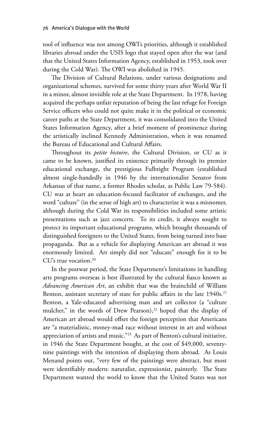tool of influence was not among OWI's priorities, although it established libraries abroad under the USIS logo that stayed open after the war (and that the United States Information Agency, established in 1953, took over during the Cold War). The OWI was abolished in 1945.

The Division of Cultural Relations, under various designations and organizational schemes, survived for some thirty years after World War II in a minor, almost invisible role at the State Department. In 1978, having acquired the perhaps unfair reputation of being the last refuge for Foreign Service officers who could not quite make it in the political or economic career paths at the State Department, it was consolidated into the United States Information Agency, after a brief moment of prominence during the artistically inclined Kennedy Administration, when it was renamed the Bureau of Educational and Cultural Affairs.

Throughout its *petite histoire*, the Cultural Division, or CU as it came to be known, justified its existence primarily through its premier educational exchange, the prestigious Fulbright Program (established almost single-handedly in 1946 by the internationalist Senator from Arkansas of that name, a former Rhodes scholar, as Public Law 79-584). CU was at heart an education-focused facilitator of exchanges, and the word "culture" (in the sense of high art) to characterize it was a misnomer, although during the Cold War its responsibilities included some artistic presentations such as jazz concerts. To its credit, it always sought to protect its important educational programs, which brought thousands of distinguished foreigners to the United States, from being turned into base propaganda. But as a vehicle for displaying American art abroad it was enormously limited. Art simply did not "educate" enough for it to be CU's true vocation.20

In the postwar period, the State Department's limitations in handling arts programs overseas is best illustrated by the cultural fiasco known as *Advancing American Art*, an exhibit that was the brainchild of William Benton, assistant secretary of state for public affairs in the late 1940s.<sup>21</sup> Benton, a Yale-educated advertising man and art collector (a "culture mulcher," in the words of Drew Pearson),<sup>22</sup> hoped that the display of American art abroad would offset the foreign perception that Americans are "a materialistic, money-mad race without interest in art and without appreciation of artists and music."23 As part of Benton's cultural initiative, in 1946 the State Department bought, at the cost of \$49,000, seventynine paintings with the intention of displaying them abroad. As Louis Menand points out, "very few of the paintings were abstract, but most were identifiably modern: naturalist, expressionist, painterly. The State Department wanted the world to know that the United States was not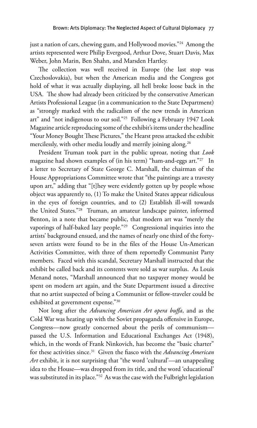just a nation of cars, chewing gum, and Hollywood movies."<sup>24</sup> Among the artists represented were Philip Evergood, Arthur Dove, Stuart Davis, Max Weber, John Marin, Ben Shahn, and Marsden Hartley.

The collection was well received in Europe (the last stop was Czechoslovakia), but when the American media and the Congress got hold of what it was actually displaying, all hell broke loose back in the USA. The show had already been criticized by the conservative American Artists Professional League (in a communication to the State Department) as "strongly marked with the radicalism of the new trends in American art" and "not indigenous to our soil."25 Following a February 1947 Look Magazine article reproducing some of the exhibit's items under the headline "Your Money Bought These Pictures," the Hearst press attacked the exhibit mercilessly, with other media loudly and merrily joining along. 26

President Truman took part in the public uproar, noting that *Look* magazine had shown examples of (in his term) "ham-and-eggs art."27 In a letter to Secretary of State George C. Marshall, the chairman of the House Appropriations Committee wrote that "the paintings are a travesty upon art," adding that "[t]hey were evidently gotten up by people whose object was apparently to, (1) To make the United States appear ridiculous in the eyes of foreign countries, and to (2) Establish ill-will towards the United States."28 Truman, an amateur landscape painter, informed Benton, in a note that became public, that modern art was "merely the vaporings of half-baked lazy people."<sup>29</sup> Congressional inquiries into the artists' background ensued, and the names of nearly one third of the fortyseven artists were found to be in the files of the House Un-American Activities Committee, with three of them reportedly Communist Party members. Faced with this scandal, Secretary Marshall instructed that the exhibit be called back and its contents were sold as war surplus. As Louis Menand notes, "Marshall announced that no taxpayer money would be spent on modern art again, and the State Department issued a directive that no artist suspected of being a Communist or fellow-traveler could be exhibited at government expense."30

Not long after the *Advancing American Art opera buffa*, and as the Cold War was heating up with the Soviet propaganda offensive in Europe, Congress—now greatly concerned about the perils of communism passed the U.S. Information and Educational Exchanges Act (1948), which, in the words of Frank Ninkovich, has become the "basic charter" for these activities since.31 Given the fiasco with the *Advancing American Art* exhibit, it is not surprising that "the word 'cultural'—an unappealing idea to the House—was dropped from its title, and the word 'educational' was substituted in its place."32 As was the case with the Fulbright legislation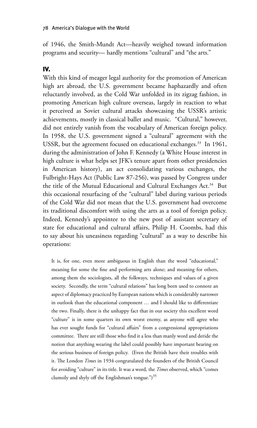of 1946, the Smith-Mundt Act—heavily weighed toward information programs and security— hardly mentions "cultural" and "the arts."

# IV.

With this kind of meager legal authority for the promotion of American high art abroad, the U.S. government became haphazardly and often reluctantly involved, as the Cold War unfolded in its zigzag fashion, in promoting American high culture overseas, largely in reaction to what it perceived as Soviet cultural attacks showcasing the USSR's artistic achievements, mostly in classical ballet and music. "Cultural," however, did not entirely vanish from the vocabulary of American foreign policy. In 1958, the U.S. government signed a "cultural" agreement with the USSR, but the agreement focused on educational exchanges. <sup>33</sup> In 1961, during the administration of John F. Kennedy (a White House interest in high culture is what helps set JFK's tenure apart from other presidencies in American history), an act consolidating various exchanges, the Fulbright-Hays Act (Public Law 87-256), was passed by Congress under the title of the Mutual Educational and Cultural Exchanges Act.<sup>34</sup> But this occasional resurfacing of the "cultural" label during various periods of the Cold War did not mean that the U.S. government had overcome its traditional discomfort with using the arts as a tool of foreign policy. Indeed, Kennedy's appointee to the new post of assistant secretary of state for educational and cultural affairs, Philip H. Coombs, had this to say about his uneasiness regarding "cultural" as a way to describe his operations:

It is, for one, even more ambiguous in English than the word "educational," meaning for some the fine and performing arts alone; and meaning for others, among them the sociologists, all the folkways, techniques and values of a given society. Secondly, the term "cultural relations" has long been used to connote an aspect of diplomacy practiced by European nations which is considerably narrower in outlook than the educational component … and I should like to differentiate the two. Finally, there is the unhappy fact that in our society this excellent word "culture" is in some quarters its own worst enemy, as anyone will agree who has ever sought funds for "cultural affairs" from a congressional appropriations committee. There are still those who find it a less than manly word and deride the notion that anything wearing the label could possibly have important bearing on the serious business of foreign policy. (Even the British have their troubles with it. The London *Times* in 1934 congratulated the founders of the British Council for avoiding "culture" in its title. It was a word, the *Times* observed, which "comes clumsily and shyly off the Englishman's tongue.")<sup>35</sup>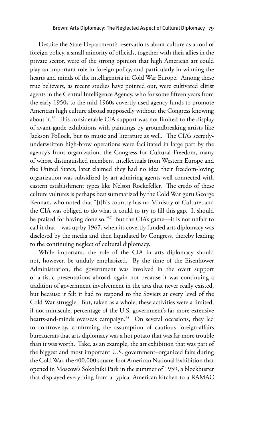Despite the State Department's reservations about culture as a tool of foreign policy, a small minority of officials, together with their allies in the private sector, were of the strong opinion that high American art could play an important role in foreign policy, and particularly in winning the hearts and minds of the intelligentsia in Cold War Europe. Among these true believers, as recent studies have pointed out, were cultivated elitist agents in the Central Intelligence Agency, who for some fifteen years from the early 1950s to the mid-1960s covertly used agency funds to promote American high culture abroad supposedly without the Congress knowing about it. $36$  This considerable CIA support was not limited to the display of avant-garde exhibitions with paintings by groundbreaking artists like Jackson Pollock, but to music and literature as well. The CIA's secretlyunderwritten high-brow operations were facilitated in large part by the agency's front organization, the Congress for Cultural Freedom, many of whose distinguished members, intellectuals from Western Europe and the United States, later claimed they had no idea their freedom-loving organization was subsidized by art-admiring agents well connected with eastern establishment types like Nelson Rockefeller. The credo of these culture vultures is perhaps best summarized by the Cold War guru George Kennan, who noted that "[t]his country has no Ministry of Culture, and the CIA was obliged to do what it could to try to fill this gap. It should be praised for having done so."37 But the CIA's game-it is not unfair to call it that—was up by 1967, when its covertly funded arts diplomacy was disclosed by the media and then liquidated by Congress, thereby leading to the continuing neglect of cultural diplomacy.

While important, the role of the CIA in arts diplomacy should not, however, be unduly emphasized. By the time of the Eisenhower Administration, the government was involved in the overt support of artistic presentations abroad, again not because it was continuing a tradition of government involvement in the arts that never really existed, but because it felt it had to respond to the Soviets at every level of the Cold War struggle. But, taken as a whole, these activities were a limited, if not miniscule, percentage of the U.S. government's far more extensive hearts-and-minds overseas campaign.<sup>38</sup> On several occasions, they led to controversy, confirming the assumption of cautious foreign-affairs bureaucrats that arts diplomacy was a hot potato that was far more trouble than it was worth. Take, as an example, the art exhibition that was part of the biggest and most important U.S. government–organized fairs during the Cold War, the 400,000 square-foot American National Exhibition that opened in Moscow's Sokolniki Park in the summer of 1959, a blockbuster that displayed everything from a typical American kitchen to a RAMAC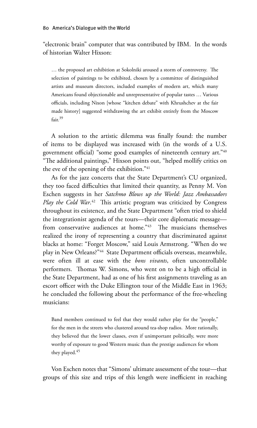"electronic brain" computer that was contributed by IBM. In the words of historian Walter Hixson:

... the proposed art exhibition at Sokolniki aroused a storm of controversy. The selection of paintings to be exhibited, chosen by a committee of distinguished artists and museum directors, included examples of modern art, which many Americans found objectionable and unrepresentative of popular tastes … Various officials, including Nixon [whose "kitchen debate" with Khrushchev at the fair made history] suggested withdrawing the art exhibit entirely from the Moscow fair. 39

A solution to the artistic dilemma was finally found: the number of items to be displayed was increased with (in the words of a U.S. government official) "some good examples of nineteenth century art."40 "The additional paintings," Hixson points out, "helped mollify critics on the eve of the opening of the exhibition."41

As for the jazz concerts that the State Department's CU organized, they too faced difficulties that limited their quantity, as Penny M. Von Eschen suggests in her *Satchmo Blows up the World: Jazz Ambassadors Play the Cold War*. <sup>42</sup> !is artistic program was criticized by Congress throughout its existence, and the State Department "often tried to shield the integrationist agenda of the tours—their core diplomatic message from conservative audiences at home."43 The musicians themselves realized the irony of representing a country that discriminated against blacks at home: "Forget Moscow," said Louis Armstrong. "When do we play in New Orleans?"44 State Department officials overseas, meanwhile, were often ill at ease with the *bons vivants*, often uncontrollable performers. Thomas W. Simons, who went on to be a high official in the State Department, had as one of his first assignments traveling as an escort officer with the Duke Ellington tour of the Middle East in 1963; he concluded the following about the performance of the free-wheeling musicians:

Band members continued to feel that they would rather play for the "people," for the men in the streets who clustered around tea-shop radios. More rationally, they believed that the lower classes, even if unimportant politically, were more worthy of exposure to good Western music than the prestige audiences for whom they played.<sup>45</sup>

Von Eschen notes that "Simons' ultimate assessment of the tour—that groups of this size and trips of this length were inefficient in reaching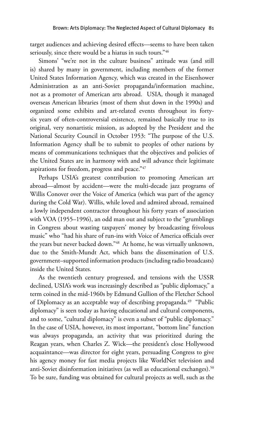target audiences and achieving desired effects—seems to have been taken seriously, since there would be a hiatus in such tours."46

Simons' "we're not in the culture business" attitude was (and still is) shared by many in government, including members of the former United States Information Agency, which was created in the Eisenhower Administration as an anti-Soviet propaganda/information machine, not as a promoter of American arts abroad. USIA, though it managed overseas American libraries (most of them shut down in the 1990s) and organized some exhibits and art-related events throughout its fortysix years of often-controversial existence, remained basically true to its original, very nonartistic mission, as adopted by the President and the National Security Council in October 1953: "The purpose of the U.S. Information Agency shall be to submit to peoples of other nations by means of communications techniques that the objectives and policies of the United States are in harmony with and will advance their legitimate aspirations for freedom, progress and peace."47

Perhaps USIA's greatest contribution to promoting American art abroad—almost by accident—were the multi-decade jazz programs of Willis Conover over the Voice of America (which was part of the agency during the Cold War). Willis, while loved and admired abroad, remained a lowly independent contractor throughout his forty years of association with VOA (1955–1996), an odd man out and subject to the "grumblings in Congress about wasting taxpayers' money by broadcasting frivolous music" who "had his share of run-ins with Voice of America officials over the years but never backed down."48 At home, he was virtually unknown, due to the Smith-Mundt Act, which bans the dissemination of U.S. government–supported information products (including radio broadcasts) inside the United States.

As the twentieth century progressed, and tensions with the USSR declined, USIA's work was increasingly described as "public diplomacy," a term coined in the mid-1960s by Edmund Gullion of the Fletcher School of Diplomacy as an acceptable way of describing propaganda.<sup>49</sup> "Public diplomacy" is seen today as having educational and cultural components, and to some, "cultural diplomacy" is even a subset of "public diplomacy." In the case of USIA, however, its most important, "bottom line" function was always propaganda, an activity that was prioritized during the Reagan years, when Charles Z. Wick—the president's close Hollywood acquaintance—was director for eight years, persuading Congress to give his agency money for fast media projects like WorldNet television and anti-Soviet disinformation initiatives (as well as educational exchanges).<sup>50</sup> To be sure, funding was obtained for cultural projects as well, such as the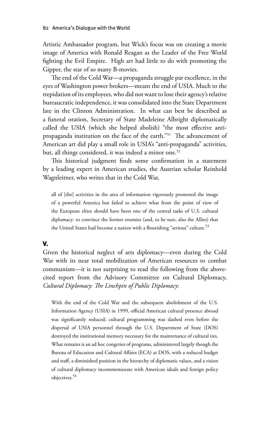Artistic Ambassador program, but Wick's focus was on creating a movie image of America with Ronald Reagan as the Leader of the Free World fighting the Evil Empire. High art had little to do with promoting the Gipper, the star of so many B-movies.

The end of the Cold War—a propaganda struggle par excellence, in the eyes of Washington power brokers—meant the end of USIA. Much to the trepidation of its employees, who did not want to lose their agency's relative bureaucratic independence, it was consolidated into the State Department late in the Clinton Administration. In what can best be described as a funeral oration, Secretary of State Madeleine Albright diplomatically called the USIA (which she helped abolish) "the most effective antipropaganda institution on the face of the earth."<sup>51</sup> The advancement of American art did play a small role in USIA's "anti-propaganda" activities, but, all things considered, it was indeed a minor one.<sup>52</sup>

This historical judgment finds some confirmation in a statement by a leading expert in American studies, the Austrian scholar Reinhold Wagnleitner, who writes that in the Cold War,

all of [the] activities in the area of information vigorously promoted the image of a powerful America but failed to achieve what from the point of view of the European elites should have been one of the central tasks of U.S. cultural diplomacy: to convince the former enemies (and, to be sure, also the Allies) that the United States had become a nation with a flourishing "serious" culture.<sup>53</sup>

# V.

Given the historical neglect of arts diplomacy—even during the Cold War with its near total mobilization of American resources to combat communism—it is not surprising to read the following from the abovecited report from the Advisory Committee on Cultural Diplomacy, Cultural Diplomacy: The Linchpin of Public Diplomacy:

With the end of the Cold War and the subsequent abolishment of the U.S. Information Agency (USIA) in 1999, official American cultural presence abroad was significantly reduced; cultural programming was slashed even before the dispersal of USIA personnel through the U.S. Department of State (DOS) destroyed the institutional memory necessary for the maintenance of cultural ties. What remains is an ad hoc congeries of programs, administered largely though the Bureau of Education and Cultural Affairs (ECA) at DOS, with a reduced budget and staff, a diminished position in the hierarchy of diplomatic values, and a vision of cultural diplomacy incommensurate with American ideals and foreign policy objectives.54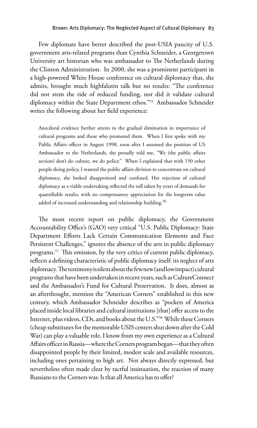Few diplomats have better described the post-USIA paucity of U.S. government arts-related programs than Cynthia Schneider, a Georgetown University art historian who was ambassador to The Netherlands during the Clinton Administration. In 2000, she was a prominent participant in a high-powered White House conference on cultural diplomacy that, she admits, brought much highfalutin talk but no results: "The conference did not stem the tide of reduced funding, nor did it validate cultural diplomacy within the State Department ethos."55 Ambassador Schneider writes the following about her field experience:

Anecdotal evidence further attests to the gradual diminution in importance of cultural programs and those who promoted them. When I first spoke with my Public Affairs officer in August 1998, soon after I assumed the position of US Ambassador to the Netherlands, she proudly told me, "We (the public affairs section) don't do culture, we do policy." When I explained that with 150 other people doing policy, I wanted the public affairs division to concentrate on cultural diplomacy, she looked disappointed and confused. Her rejection of cultural diplomacy as a viable undertaking reflected the toll taken by years of demands for quantifiable results, with no compensatory appreciation for the longterm value added of increased understanding and relationship building.<sup>56</sup>

The most recent report on public diplomacy, the Government Accountability Office's (GAO) very critical "U.S. Public Diplomacy: State Department Efforts Lack Certain Communication Elements and Face Persistent Challenges," ignores the absence of the arts in public diplomacy programs.<sup>57</sup> This omission, by the very critics of current public diplomacy, reflects a defining characteristic of public diplomacy itself: its neglect of arts diplomacy. The testimony is silent about the fewnew (and low impact) cultural programs that have been undertaken in recent years, such as CultureConnect and the Ambassador's Fund for Cultural Preservation. It does, almost as an afterthought, mention the "American Corners" established in this new century, which Ambassador Schneider describes as "pockets of America placed inside local libraries and cultural institutions [that] offer access to the Internet, plus videos, CDs, and books about the U.S."<sup>58</sup> While these Corners (cheap substitutes for the memorable USIS centers shut down after the Cold War) can play a valuable role, I know from my own experience as a Cultural Affairs officer in Russia—where the Corners program began—that they often disappointed people by their limited, modest scale and available resources, including ones pertaining to high art. Not always directly expressed, but nevertheless often made clear by tactful insinuation, the reaction of many Russians to the Corners was: Is that all America has to offer?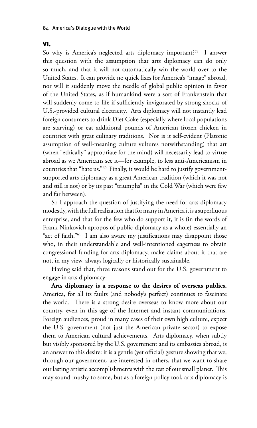## VI.

So why is America's neglected arts diplomacy important?<sup>59</sup> I answer this question with the assumption that arts diplomacy can do only so much, and that it will not automatically win the world over to the United States. It can provide no quick fixes for America's "image" abroad, nor will it suddenly move the needle of global public opinion in favor of the United States, as if humankind were a sort of Frankenstein that will suddenly come to life if sufficiently invigorated by strong shocks of U.S.-provided cultural electricity. Arts diplomacy will not instantly lead foreign consumers to drink Diet Coke (especially where local populations are starving) or eat additional pounds of American frozen chicken in countries with great culinary traditions. Nor is it self-evident (Platonic assumption of well-meaning culture vultures notwithstanding) that art (when "ethically" appropriate for the mind) will necessarily lead to virtue abroad as we Americans see it—for example, to less anti-Americanism in countries that "hate us."60 Finally, it would be hard to justify governmentsupported arts diplomacy as a great American tradition (which it was not and still is not) or by its past "triumphs" in the Cold War (which were few and far between).

So I approach the question of justifying the need for arts diplomacy modestly, with the full realization that for many in America it is a superfluous enterprise, and that for the few who do support it, it is (in the words of Frank Ninkovich apropos of public diplomacy as a whole) essentially an "act of faith."<sup>61</sup> I am also aware my justifications may disappoint those who, in their understandable and well-intentioned eagerness to obtain congressional funding for arts diplomacy, make claims about it that are not, in my view, always logically or historically sustainable.

Having said that, three reasons stand out for the U.S. government to engage in arts diplomacy:

**Arts diplomacy is a response to the desires of overseas publics.**  America, for all its faults (and nobody's perfect) continues to fascinate the world. There is a strong desire overseas to know more about our country, even in this age of the Internet and instant communications. Foreign audiences, proud in many cases of their own high culture, expect the U.S. government (not just the American private sector) to expose them to American cultural achievements. Arts diplomacy, when subtly but visibly sponsored by the U.S. government and its embassies abroad, is an answer to this desire: it is a gentle (yet official) gesture showing that we, through our government, are interested in others, that we want to share our lasting artistic accomplishments with the rest of our small planet. This may sound mushy to some, but as a foreign policy tool, arts diplomacy is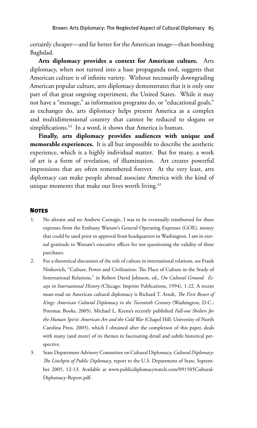certainly cheaper—and far better for the American image—than bombing Baghdad.

**Arts diplomacy provides a context for American culture.** Arts diplomacy, when not turned into a base propaganda tool, suggests that American culture is of infinite variety. Without necessarily downgrading American popular culture, arts diplomacy demonstrates that it is only one part of that great ongoing experiment, the United States. While it may not have a "message," as information programs do, or "educational goals," as exchanges do, arts diplomacy helps present America as a complex and multidimensional country that cannot be reduced to slogans or simplifications.<sup>62</sup> In a word, it shows that America is human.

**Finally, arts diplomacy provides audiences with unique and memorable experiences.** It is all but impossible to describe the aesthetic experience, which is a highly individual matter. But for many, a work of art is a form of revelation, of illumination. Art creates powerful impressions that are often remembered forever. At the very least, arts diplomacy can make people abroad associate America with the kind of unique moments that make our lives worth living. 63

## **NOTES**

- 1. No altruist and no Andrew Carnegie, I was to be eventually reimbursed for these expenses from the Embassy Warsaw's General Operating Expenses (GOE), money that could be used prior to approval from headquarters in Washington. I am in eternal gratitude to Warsaw's executive officer for not questioning the validity of these purchases.
- 2. For a theoretical discussion of the role of culture in international relations, see Frank Ninkovich, "Culture, Power and Civilization: The Place of Culture in the Study of International Relations," in Robert David Johnson, ed., *On Cultural Ground: Essays in International History* (Chicago: Imprint Publications, 1994), 1-22. A recent must-read on American cultural diplomacy is Richard T. Arndt, *The First Resort of Kings: American Cultural Diplomacy in the Twentieth Century* (Washington, D.C.: Potomac Books, 2005). Michael L. Krenn's recently published *Fall-out Shelters for the Human Spirit: American Art and the Cold War* (Chapel Hill: University of North Carolina Press, 2005), which I obtained after the completion of this paper, deals with many (and more) of its themes in fascinating detail and subtle historical perspective.
- 3. State Department Advisory Committee on Cultural Diplomacy, *Cultural Diplomacy:*  The Linchpin of Public Diplomacy, report to the U.S. Department of State, September 2005, 12-13. Available at www.publicdiplomacywatch.com/091505Cultural-Diplomacy-Report.pdf.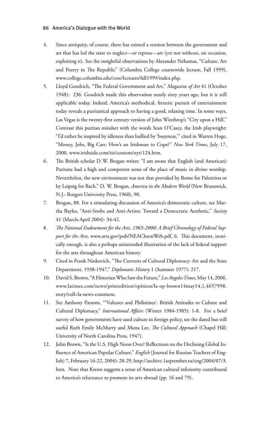#### 86 America's Dialogue with the World

- 4. Since antiquity, of course, there has existed a tension between the government and art that has led the state to neglect—or repress—art (yet not without, on occasion, exploiting it). See the insightful observations by Alexander Nehamas, "Culture, Art and Poetry in The Republic" (Columbia College coursewide lecture, Fall 1999), www.college.columbia.edu/core/lectures/fall1999/index.php.
- 5. Lloyd Goodrich, "The Federal Government and Art," *Magazine of Art* 41 (October 1948): 236. Goodrich made this observation nearly sixty years ago, but it is still applicable today. Indeed, America's methodical, frenetic pursuit of entertainment today reveals a puritanical approach to having a good, relaxing time. In some ways, Las Vegas is the twenty-first century version of John Winthrop's "City upon a Hill." Contrast this puritan mindset with the words Sean O'Casey, the Irish playwright: "I'd rather be inspired by idleness than bullied by 'busyness,'" cited in Warren Hoge, "Money, Jobs, Big Cars: How's an Irishman to Cope?" *New York Times*, July 17, 2000, www.irishside.com/tis/content/nyt/124.htm.
- 6. The British scholar D.W. Brogan writes: "I am aware that English (and American) Puritans had a high and competent sense of the place of music in divine worship. Nevertheless, the new environment was not that provided by Rome for Palestrina or by Leipzig for Bach." D. W. Brogan, *America in the Modern World* (New Brunswick, N.J.: Rutgers University Press, 1960), 90.
- 7. Brogan, 88. For a stimulating discussion of America's democratic culture, see Martha Bayles, "Anti-Snobs and Anti-Artists: Toward a Democratic Aesthetic," *Society* 41 (March-April 2004): 34-42.
- 8. The National Endowment for the Arts, 1965-2000: A Brief Chronology of Federal Sup*port for the Arts*, www.arts.gov/pub/NEAChronWeb.pdf, 6. This document, ironically enough, is also a perhaps unintended illustration of the lack of federal support for the arts throughout American history.
- 9. Cited in Frank Ninkovich, "The Currents of Cultural Diplomacy: Art and the State Department, 1938-1947," *Diplomatic History* 1 (Summer 1977): 217.
- 10. David S. Brown, "A Historian Who Saw the Future," *Los Angeles Times*, May 14, 2006. www.latimes.com/news/printedition/opinion/la-op-brown14may14,1,4657998. story?coll=la-news-comment.
- 11. See Anthony Parsons, "'Vultures and Philistines': British Attitudes to Culture and Cultural Diplomacy," *International Affairs* (Winter 1984-1985): 1-8. For a brief survey of how governments have used culture in foreign policy, see the dated but still useful Ruth Emily McMurry and Muna Lee, *The Cultural Approach* (Chapel Hill: University of North Carolina Press, 1947).
- 12. John Brown, "Is the U.S. High Noon Over? Reflections on the Declining Global Influence of American Popular Culture," *English* (Journal for Russian Teachers of English) 7, February 16-22, 2004): 28-29, http://archive.1september.ru/eng/2004/07/3. htm. Note that Krenn suggests a sense of American cultural inferiority contributed to America's reluctance to promote its arts abroad (pp. 16 and 79).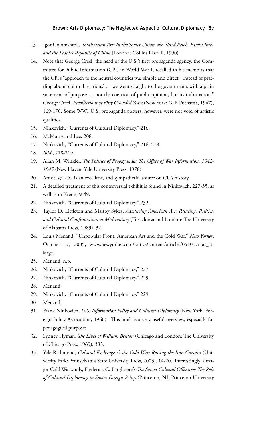### Brown: Arts Diplomacy: The Neglected Aspect of Cultural Diplomacy 87

- 13. Igor Golomshtok, *Totalitarian Art: In the Soviet Union, the Third Reich, Fascist Italy*, *and the People's Republic of China* (London: Collins Harvill, 1990).
- 14. Note that George Creel, the head of the U.S.'s first propaganda agency, the Committee for Public Information (CPI) in World War I, recalled in his memoirs that the CPI's "approach to the neutral countries was simple and direct. Instead of prattling about 'cultural relations' ... we went straight to the governments with a plain statement of purpose … not the coercion of public opinion, but its information." George Creel, *Recollections of Fifty Crowded Years* (New York: G.P. Putnam's, 1947), 169-170. Some WWI U.S. propaganda posters, however, were not void of artistic qualities.
- 15. Ninkovich*,* "Currents of Cultural Diplomacy," 216.
- 16. McMurry and Lee, 208.
- 17. Ninkovich, "Currents of Cultural Diplomacy," 216, 218.
- 18. *Ibid*., 218-219.
- 19. Allan M. Winkler, *The Politics of Propaganda: The Office of War Information, 1942-1945* (New Haven: Yale University Press, 1978).
- 20. Arndt, *op. cit*., is an excellent, and sympathetic, source on CU's history.
- 21. A detailed treatment of this controversial exhibit is found in Ninkovich, 227-35, as well as in Krenn, 9-49.
- 22. Ninkovich, "Currents of Cultural Diplomacy," 232.
- 23. Taylor D. Littleton and Maltby Sykes, *Advancing American Art: Painting, Politics,*  and Cultural Confrontation at Mid-century (Tuscaloosa and London: The University of Alabama Press, 1989), 32.
- 24. Louis Menand, "Unpopular Front: American Art and the Cold War," *New Yorker*, October 17, 2005, www.newyorker.com/critics/content/articles/051017crat\_atlarge.
- 25. Menand, n.p.
- 26. Ninkovich, "Currents of Cultural Diplomacy," 227.
- 27. Ninkovich, "Currents of Cultural Diplomacy," 229.
- 28. Menand.
- 29. Ninkovich, "Currents of Cultural Diplomacy," 229.
- 30. Menand.
- 31. Frank Ninkovich, *U.S. Information Policy and Cultural Diplomacy* (New York: Foreign Policy Association, 1966). This book is a very useful overview, especially for pedagogical purposes.
- 32. Sydney Hyman, *The Lives of William Benton* (Chicago and London: The University of Chicago Press, 1969), 383.
- 33. Yale Richmond, *Cultural Exchange & the Cold War: Raising the Iron Curtain* (University Park: Pennsylvania State University Press, 2003), 14-20. Interestingly, a major Cold War study, Frederick C. Barghoorn's *The Soviet Cultural Offensive: The Role of Cultural Diplomacy in Soviet Foreign Policy* (Princeton, NJ: Princeton University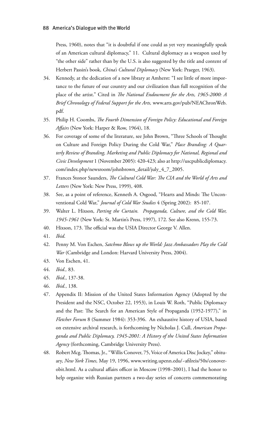Press, 1960), notes that "it is doubtful if one could as yet very meaningfully speak of an American cultural diplomacy," 11. Cultural diplomacy as a weapon used by "the other side" rather than by the U.S. is also suggested by the title and content of Herbert Passin's book, *China's Cultural Diplomacy* (New York: Praeger, 1963).

- 34. Kennedy, at the dedication of a new library at Amherst: "I see little of more importance to the future of our country and our civilization than full recognition of the place of the artist." Cited in *The National Endowment for the Arts, 1965-2000: A Brief Chronology of Federal Support for the Arts,* www.arts.gov/pub/NEAChronWeb. pdf.
- 35. Philip H. Coombs, *The Fourth Dimension of Foreign Policy: Educational and Foreign Affairs* (New York: Harper & Row, 1964), 18.
- 36. For coverage of some of the literature, see John Brown, "Three Schools of Thought on Culture and Foreign Policy During the Cold War," *Place Branding: A Quarterly Review of Branding, Marketing and Public Diplomacy for National, Regional and Civic Development* 1 (November 2005): 420-423; also at http://uscpublicdiplomacy. com/index.php/newsroom/johnbrown\_detail/july\_4\_7\_2005.
- 37. Frances Stonor Saunders, *The Cultural Cold War: The CIA and the World of Arts and Letters* (New York: New Press, 1999), 408.
- 38. See, as a point of reference, Kenneth A. Osgood, "Hearts and Minds: The Unconventional Cold War," *Journal of Cold War Studies* 4 (Spring 2002): 85-107.
- 39. Walter L. Hixson, *Parting the Curtain. Propaganda, Culture, and the Cold War, 1945-1961* (New York: St. Martin's Press, 1997), 172. See also Krenn, 155-73.
- 40. Hixson, 173. The official was the USIA Director George V. Allen.
- 41. *Ibid*.
- 42. Penny M. Von Eschen, *Satchmo Blows up the World: Jazz Ambassadors Play the Cold War* (Cambridge and London: Harvard University Press, 2004).
- 43. Von Eschen, 41.
- 44. *Ibid.,* 83.
- 45. *Ibid*., 137-38.
- 46. *Ibid.*, 138.
- 47. Appendix II: Mission of the United States Information Agency (Adopted by the President and the NSC, October 22, 1953), in Louis W. Roth, "Public Diplomacy and the Past: The Search for an American Style of Propaganda (1952-1977)," in *Fletcher Forum* 8 (Summer 1984): 353-396. An exhaustive history of USIA, based on extensive archival research, is forthcoming by Nicholas J. Cull, *American Propaganda and Public Diplomacy, 1945-2001: A History of the United States Information Agency* (forthcoming, Cambridge University Press).
- 48. Robert Mcg. Thomas, Jr., "Willis Conover, 75, Voice of America Disc Jockey," obituary, *New York Times,* May 19, 1996, www.writing.upenn.edu/~afilreis/50s/conoverobit.html. As a cultural affairs officer in Moscow (1998–2001), I had the honor to help organize with Russian partners a two-day series of concerts commemorating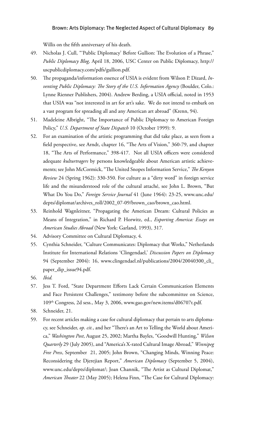### Brown: Arts Diplomacy: The Neglected Aspect of Cultural Diplomacy 89

Willis on the fifth anniversary of his death.

- 49. Nicholas J. Cull, "'Public Diplomacy' Before Gullion: The Evolution of a Phrase," *Public Diplomacy Blog,* April 18, 2006, USC Center on Public Diplomacy, http:// uscpublicdiplomacy.com/pdfs/gullion.pdf.
- 50. The propaganda/information essence of USIA is evident from Wilson P. Dizard, *In*venting Public Diplomacy: The Story of the U.S. Information Agency (Boulder, Colo.: Lynne Rienner Publishers, 2004). Andrew Berding, a USIA official, noted in 1953 that USIA was "not interested in art for art's sake. We do not intend to embark on a vast program for spreading all and any American art abroad" (Krenn, 94).
- 51. Madeleine Albright, "The Importance of Public Diplomacy to American Foreign Policy," *U.S. Department of State Dispatch* 10 (October 1999): 9.
- 52. For an examination of the artistic programming that did take place, as seen from a field perspective, see Arndt, chapter 16, "The Arts of Vision," 360-79, and chapter 18, "The Arts of Performance," 398-417. Not all USIA officers were considered adequate *kulturtragers* by persons knowledgeable about American artistic achievements; see John McCormick, "The United Snopes Information Service," The Kenyon *Review* 24 (Spring 1962): 330-350. For culture as a "dirty word" in foreign service life and the misunderstood role of the cultural attaché, see John L. Brown, "But What Do You Do," *Foreign Service Journal* 41 (June 1964): 23-25, www.unc.edu/ depts/diplomat/archives\_roll/2002\_07-09/brown\_cao/brown\_cao.html.
- 53. Reinhold Wagnleitner, "Propagating the American Dream: Cultural Policies as Means of Integration," in Richard P. Horwitz, ed., *Exporting America: Essays on American Studies Abroad* (New York: Garland, 1993), 317.
- 54. Advisory Committee on Cultural Diplomacy, 4.
- 55. Cynthia Schneider, "Culture Communicates: Diplomacy that Works," Netherlands Institute for International Relations 'Clingendael,' *Discussion Papers on Diplomacy* 94 (September 2004): 16, www.clingendael.nl/publications/2004/20040300\_cli\_ paper\_dip\_issue94.pdf.
- 56. *Ibid.*
- 57. Jess T. Ford, "State Department Efforts Lack Certain Communication Elements and Face Persistent Challenges," testimony before the subcommittee on Science, 109th Congress, 2d sess., May 3, 2006, www.gao.gov/new.items/d06707t.pdf.
- 58. Schneider, 21.
- 59. For recent articles making a case for cultural diplomacy that pertain to arts diplomacy, see Schneider, op. cit., and her "There's an Art to Telling the World about America," *Washington Post*, August 25, 2002; Martha Bayles, "Goodwill Hunting," *Wilson Quarterly* 29 (July 2005), and "America's X-rated Cultural Image Abroad," *Winnipeg Free Press*, September 21, 2005; John Brown, "Changing Minds, Winning Peace: Reconsidering the Djerejian Report," *American Diplomacy* (September 5, 2004), www.unc.edu/depts/diplomat/; Joan Channik, "The Artist as Cultural Diplomat," *American Theater* 22 (May 2005); Helena Finn, "The Case for Cultural Diplomacy: